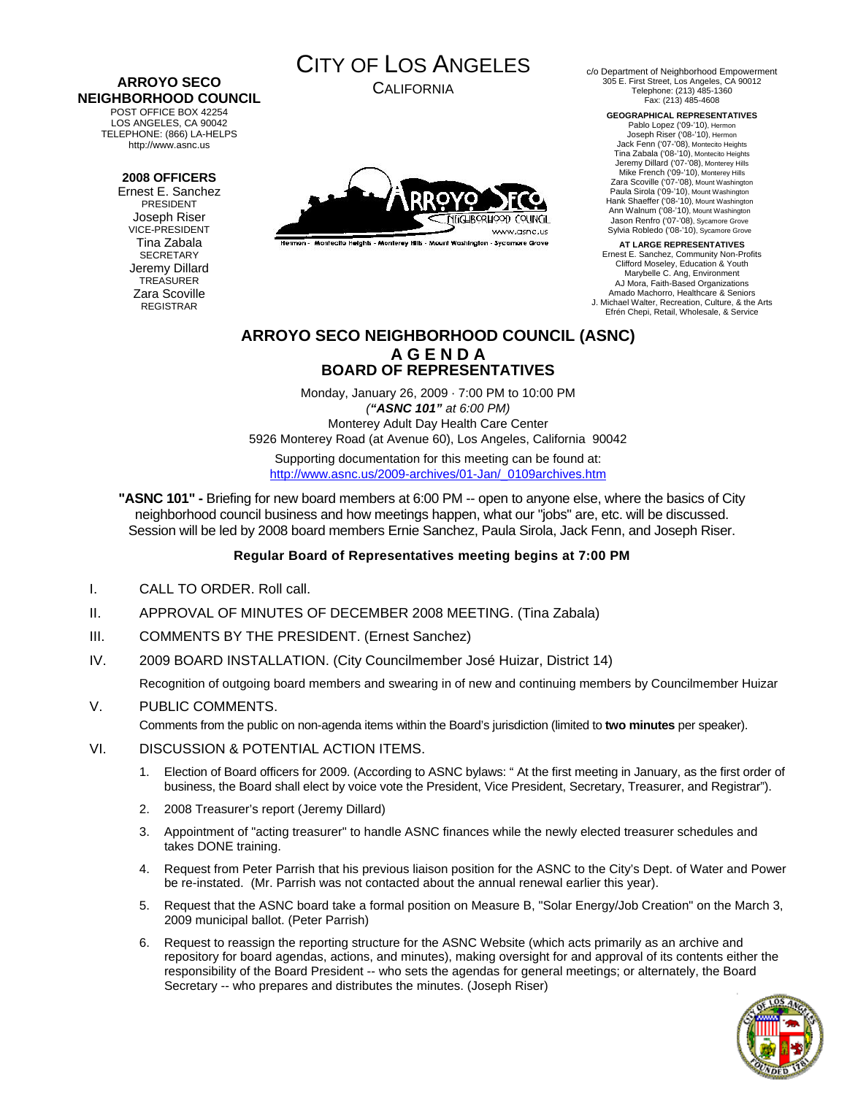#### **ARROYO SECO NEIGHBORHOOD COUNCIL**  POST OFFICE BOX 42254

LOS ANGELES, CA 90042 TELEPHONE: (866) LA-HELPS http://www.asnc.us

### **2008 OFFICERS**

Ernest E. Sanchez PRESIDENT Joseph Riser VICE-PRESIDENT Tina Zabala **SECRETARY** Jeremy Dillard TREASURER Zara Scoville REGISTRAR



CALIFORNIA



Termon - Montecito Heights - Monterey Hills - Mount Washington - Sycamore Grove

c/o Department of Neighborhood Empowerment 305 E. First Street, Los Angeles, CA 90012 Telephone: (213) 485-1360 Fax: (213) 485-4608

> **GEOGRAPHICAL REPRESENTATIVES**  Pablo Lopez ('09-'10), Hermon Joseph Riser ('08-'10), Hermon Jack Fenn ('07-'08), Montecito Heights Tina Zabala ('08-'10), Montecito Heights Jeremy Dillard ('07-'08), Monterey Hills Mike French ('09-'10), Monterey Hills Zara Scoville ('07-'08), Mount Washington Paula Sirola ('09-'10), Mount Washington Hank Shaeffer ('08-'10), Mount Washington Ann Walnum ('08-'10), Mount Washington Jason Renfro ('07-'08), Sycamore Grove

Sylvia Robledo ('08-'10), Sycamore Grove **AT LARGE REPRESENTATIVES**  Ernest E. Sanchez, Community Non-Profits Clifford Moseley, Education & Youth Marybelle C. Ang, Environment AJ Mora, Faith-Based Organizations Amado Machorro, Healthcare & Seniors J. Michael Walter, Recreation, Culture, & the Arts Efrén Chepi, Retail, Wholesale, & Service

## **ARROYO SECO NEIGHBORHOOD COUNCIL (ASNC) A G E N D A BOARD OF REPRESENTATIVES**

Monday, January 26, 2009 · 7:00 PM to 10:00 PM *("ASNC 101" at 6:00 PM)* Monterey Adult Day Health Care Center 5926 Monterey Road (at Avenue 60), Los Angeles, California 90042

Supporting documentation for this meeting can be found at: [http://www.asnc.us/2009-archives/01-Jan/\\_0109archives.htm](http://www.asnc.us/2009-archives/01-Jan/_0109archives.htm)

**"ASNC 101" -** Briefing for new board members at 6:00 PM -- open to anyone else, where the basics of City neighborhood council business and how meetings happen, what our "jobs" are, etc. will be discussed. Session will be led by 2008 board members Ernie Sanchez, Paula Sirola, Jack Fenn, and Joseph Riser.

## **Regular Board of Representatives meeting begins at 7:00 PM**

- I. CALL TO ORDER. Roll call.
- II. APPROVAL OF MINUTES OF DECEMBER 2008 MEETING. (Tina Zabala)
- III. COMMENTS BY THE PRESIDENT. (Ernest Sanchez)
- IV. 2009 BOARD INSTALLATION. (City Councilmember José Huizar, District 14)

Recognition of outgoing board members and swearing in of new and continuing members by Councilmember Huizar

## V. PUBLIC COMMENTS.

Comments from the public on non-agenda items within the Board's jurisdiction (limited to **two minutes** per speaker).

- VI. DISCUSSION & POTENTIAL ACTION ITEMS.
	- 1. Election of Board officers for 2009. (According to ASNC bylaws: " At the first meeting in January, as the first order of business, the Board shall elect by voice vote the President, Vice President, Secretary, Treasurer, and Registrar").
	- 2. 2008 Treasurer's report (Jeremy Dillard)
	- 3. Appointment of "acting treasurer" to handle ASNC finances while the newly elected treasurer schedules and takes DONE training.
	- 4. Request from Peter Parrish that his previous liaison position for the ASNC to the City's Dept. of Water and Power be re-instated. (Mr. Parrish was not contacted about the annual renewal earlier this year).
	- 5. Request that the ASNC board take a formal position on Measure B, "Solar Energy/Job Creation" on the March 3, 2009 municipal ballot. (Peter Parrish)
	- 6. Request to reassign the reporting structure for the ASNC Website (which acts primarily as an archive and repository for board agendas, actions, and minutes), making oversight for and approval of its contents either the responsibility of the Board President -- who sets the agendas for general meetings; or alternately, the Board Secretary -- who prepares and distributes the minutes. (Joseph Riser)

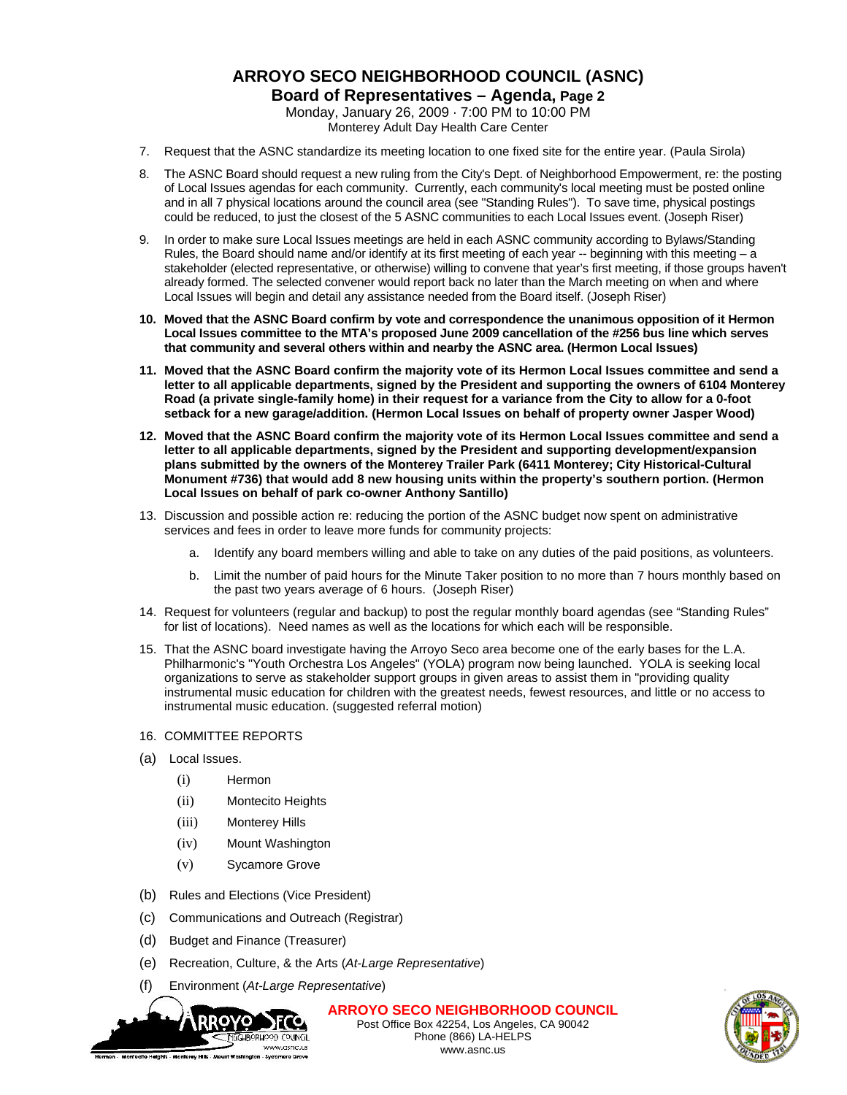# **ARROYO SECO NEIGHBORHOOD COUNCIL (ASNC) Board of Representatives – Agenda, Page 2**

Monday, January 26, 2009 · 7:00 PM to 10:00 PM Monterey Adult Day Health Care Center

- 7. Request that the ASNC standardize its meeting location to one fixed site for the entire year. (Paula Sirola)
- 8. The ASNC Board should request a new ruling from the City's Dept. of Neighborhood Empowerment, re: the posting of Local Issues agendas for each community. Currently, each community's local meeting must be posted online and in all 7 physical locations around the council area (see "Standing Rules"). To save time, physical postings could be reduced, to just the closest of the 5 ASNC communities to each Local Issues event. (Joseph Riser)
- 9. In order to make sure Local Issues meetings are held in each ASNC community according to Bylaws/Standing Rules, the Board should name and/or identify at its first meeting of each year -- beginning with this meeting – a stakeholder (elected representative, or otherwise) willing to convene that year's first meeting, if those groups haven't already formed. The selected convener would report back no later than the March meeting on when and where Local Issues will begin and detail any assistance needed from the Board itself. (Joseph Riser)
- **10. Moved that the ASNC Board confirm by vote and correspondence the unanimous opposition of it Hermon Local Issues committee to the MTA's proposed June 2009 cancellation of the #256 bus line which serves that community and several others within and nearby the ASNC area. (Hermon Local Issues)**
- **11. Moved that the ASNC Board confirm the majority vote of its Hermon Local Issues committee and send a letter to all applicable departments, signed by the President and supporting the owners of 6104 Monterey Road (a private single-family home) in their request for a variance from the City to allow for a 0-foot setback for a new garage/addition. (Hermon Local Issues on behalf of property owner Jasper Wood)**
- **12. Moved that the ASNC Board confirm the majority vote of its Hermon Local Issues committee and send a letter to all applicable departments, signed by the President and supporting development/expansion plans submitted by the owners of the Monterey Trailer Park (6411 Monterey; City Historical-Cultural Monument #736) that would add 8 new housing units within the property's southern portion. (Hermon Local Issues on behalf of park co-owner Anthony Santillo)**
- 13. Discussion and possible action re: reducing the portion of the ASNC budget now spent on administrative services and fees in order to leave more funds for community projects:
	- a. Identify any board members willing and able to take on any duties of the paid positions, as volunteers.
	- b. Limit the number of paid hours for the Minute Taker position to no more than 7 hours monthly based on the past two years average of 6 hours. (Joseph Riser)
- 14. Request for volunteers (regular and backup) to post the regular monthly board agendas (see "Standing Rules" for list of locations). Need names as well as the locations for which each will be responsible.
- 15. That the ASNC board investigate having the Arroyo Seco area become one of the early bases for the L.A. Philharmonic's "Youth Orchestra Los Angeles" (YOLA) program now being launched. YOLA is seeking local organizations to serve as stakeholder support groups in given areas to assist them in "providing quality instrumental music education for children with the greatest needs, fewest resources, and little or no access to instrumental music education. (suggested referral motion)

#### 16. COMMITTEE REPORTS

- (a) Local Issues.
	- (i) Hermon
	- (ii) Montecito Heights
	- (iii) Monterey Hills
	- (iv) Mount Washington
	- (v) Sycamore Grove
- (b) Rules and Elections (Vice President)
- (c) Communications and Outreach (Registrar)
- (d) Budget and Finance (Treasurer)
- (e) Recreation, Culture, & the Arts (*At-Large Representative*)
- (f) Environment (*At-Large Representative*)



**ARROYO SECO NEIGHBORHOOD COUNCIL** Post Office Box 42254, Los Angeles, CA 90042 Phone (866) LA-HELPS

www.asnc.us